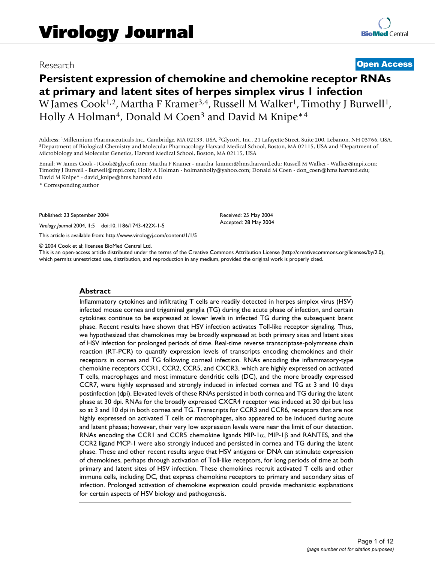## Research **[Open Access](http://www.biomedcentral.com/info/about/charter/)**

# **Persistent expression of chemokine and chemokine receptor RNAs at primary and latent sites of herpes simplex virus 1 infection** W James Cook<sup>1,2</sup>, Martha F Kramer<sup>3,4</sup>, Russell M Walker<sup>1</sup>, Timothy J Burwell<sup>1</sup>, Holly A Holman<sup>4</sup>, Donald M Coen<sup>3</sup> and David M Knipe<sup>\*4</sup>

Address: <sup>1</sup>Millennium Pharmaceuticals Inc., Cambridge, MA 02139, USA, <sup>2</sup>GlycoFi, Inc., 21 Lafayette Street, Suite 200, Lebanon, NH 03766, USA, <sup>3</sup>Department of Biological Chemistry and Molecular Pharmacology Harvard Medi Microbiology and Molecular Genetics, Harvard Medical School, Boston, MA 02115, USA

Email: W James Cook - JCook@glycofi.com; Martha F Kramer - martha\_kramer@hms.harvard.edu; Russell M Walker - Walker@mpi.com; Timothy J Burwell - Burwell@mpi.com; Holly A Holman - holmanholly@yahoo.com; Donald M Coen - don\_coen@hms.harvard.edu; David M Knipe\* - david\_knipe@hms.harvard.edu

\* Corresponding author

Published: 23 September 2004

*Virology Journal* 2004, **1**:5 doi:10.1186/1743-422X-1-5

[This article is available from: http://www.virologyj.com/content/1/1/5](http://www.virologyj.com/content/1/1/5)

© 2004 Cook et al; licensee BioMed Central Ltd.

This is an open-access article distributed under the terms of the Creative Commons Attribution License (<http://creativecommons.org/licenses/by/2.0>), which permits unrestricted use, distribution, and reproduction in any medium, provided the original work is properly cited.

Received: 25 May 2004 Accepted: 28 May 2004

#### **Abstract**

Inflammatory cytokines and infiltrating T cells are readily detected in herpes simplex virus (HSV) infected mouse cornea and trigeminal ganglia (TG) during the acute phase of infection, and certain cytokines continue to be expressed at lower levels in infected TG during the subsequent latent phase. Recent results have shown that HSV infection activates Toll-like receptor signaling. Thus, we hypothesized that chemokines may be broadly expressed at both primary sites and latent sites of HSV infection for prolonged periods of time. Real-time reverse transcriptase-polymrease chain reaction (RT-PCR) to quantify expression levels of transcripts encoding chemokines and their receptors in cornea and TG following corneal infection. RNAs encoding the inflammatory-type chemokine receptors CCR1, CCR2, CCR5, and CXCR3, which are highly expressed on activated T cells, macrophages and most immature dendritic cells (DC), and the more broadly expressed CCR7, were highly expressed and strongly induced in infected cornea and TG at 3 and 10 days postinfection (dpi). Elevated levels of these RNAs persisted in both cornea and TG during the latent phase at 30 dpi. RNAs for the broadly expressed CXCR4 receptor was induced at 30 dpi but less so at 3 and 10 dpi in both cornea and TG. Transcripts for CCR3 and CCR6, receptors that are not highly expressed on activated T cells or macrophages, also appeared to be induced during acute and latent phases; however, their very low expression levels were near the limit of our detection. RNAs encoding the CCR1 and CCR5 chemokine ligands MIP-1 $\alpha$ , MIP-1 $\beta$  and RANTES, and the CCR2 ligand MCP-1 were also strongly induced and persisted in cornea and TG during the latent phase. These and other recent results argue that HSV antigens or DNA can stimulate expression of chemokines, perhaps through activation of Toll-like receptors, for long periods of time at both primary and latent sites of HSV infection. These chemokines recruit activated T cells and other immune cells, including DC, that express chemokine receptors to primary and secondary sites of infection. Prolonged activation of chemokine expression could provide mechanistic explanations for certain aspects of HSV biology and pathogenesis.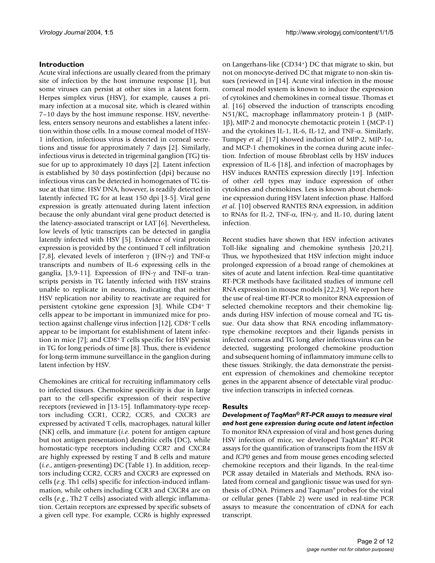## **Introduction**

Acute viral infections are usually cleared from the primary site of infection by the host immune response [1], but some viruses can persist at other sites in a latent form. Herpes simplex virus (HSV), for example, causes a primary infection at a mucosal site, which is cleared within 7–10 days by the host immune response. HSV, nevertheless, enters sensory neurons and establishes a latent infection within those cells. In a mouse corneal model of HSV-1 infection, infectious virus is detected in corneal secretions and tissue for approximately 7 days [2]. Similarly, infectious virus is detected in trigeminal ganglion (TG) tissue for up to approximately 10 days [2]. Latent infection is established by 30 days postinfection (dpi) because no infectious virus can be detected in homogenates of TG tissue at that time. HSV DNA, however, is readily detected in latently infected TG for at least 150 dpi [3-5]. Viral gene expression is greatly attenuated during latent infection because the only abundant viral gene product detected is the latency-associated transcript or LAT [6]. Nevertheless, low levels of lytic transcripts can be detected in ganglia latently infected with HSV [5]. Evidence of viral protein expression is provided by the continued T cell infiltration [7,8], elevated levels of interferon  $\gamma$  (IFN- $\gamma$ ) and TNF- $\alpha$ transcripts and numbers of IL-6 expressing cells in the ganglia, [3,9-11]. Expression of IFN-γ and TNF- $α$  transcripts persists in TG latently infected with HSV strains unable to replicate in neurons, indicating that neither HSV replication nor ability to reactivate are required for persistent cytokine gene expression [3]. While CD4+ T cells appear to be important in immunized mice for protection against challenge virus infection [12], CD8+ T cells appear to be important for establishment of latent infection in mice [7]; and CD8+ T cells specific for HSV persist in TG for long periods of time [8]. Thus, there is evidence for long-term immune surveillance in the ganglion during latent infection by HSV.

Chemokines are critical for recruiting inflammatory cells to infected tissues. Chemokine specificity is due in large part to the cell-specific expression of their respective receptors (reviewed in [13-15]. Inflammatory-type receptors including CCR1, CCR2, CCR5, and CXCR3 are expressed by activated T cells, macrophages, natural killer (NK) cells, and immature (*i.e*. potent for antigen capture but not antigen presentation) dendritic cells (DC), while homostatic-type receptors including CCR7 and CXCR4 are highly expressed by resting T and B cells and mature (*i.e*., antigen-presenting) DC (Table [1\)](#page-2-0). In addition, receptors including CCR2, CCR5 and CXCR3 are expressed on cells (*e.g.* Th1 cells) specific for infection-induced inflammation, while others including CCR3 and CXCR4 are on cells (*e.g.*, Th2 T cells) associated with allergic inflammation. Certain receptors are expressed by specific subsets of a given cell type. For example, CCR6 is highly expressed

on Langerhans-like (CD34+) DC that migrate to skin, but not on monocyte-derived DC that migrate to non-skin tissues (reviewed in [14]. Acute viral infection in the mouse corneal model system is known to induce the expression of cytokines and chemokines in corneal tissue. Thomas et al. [16] observed the induction of transcripts encoding N51/KC, macrophage inflammatory protein-1 β (MIP-1β), MIP-2 and monocyte chemotactic protein 1 (MCP-1) and the cytokines IL-1, IL-6, IL-12, and TNF- $\alpha$ . Similarly, Tumpey *et al.* [17] showed induction of MIP-2, MIP-1α, and MCP-1 chemokines in the cornea during acute infection. Infection of mouse fibroblast cells by HSV induces expression of IL-6 [18], and infection of macrophages by HSV induces RANTES expression directly [19]. Infection of other cell types may induce expression of other cytokines and chemokines. Less is known about chemokine expression during HSV latent infection phase. Halford *et al.* [10] observed RANTES RNA expression, in addition to RNAs for IL-2, TNF-α, IFN-γ, and IL-10, during latent infection.

Recent studies have shown that HSV infection activates Toll-like signaling and chemokine synthesis [20,21]. Thus, we hypothesized that HSV infection might induce prolonged expression of a broad range of chemokines at sites of acute and latent infection. Real-time quantitative RT-PCR methods have facilitated studies of immune cell RNA expression in mouse models [22,23]. We report here the use of real-time RT-PCR to monitor RNA expression of selected chemokine receptors and their chemokine ligands during HSV infection of mouse corneal and TG tissue. Our data show that RNA encoding inflammatorytype chemokine receptors and their ligands persists in infected corneas and TG long after infectious virus can be detected, suggesting prolonged chemokine production and subsequent homing of inflammatory immune cells to these tissues. Strikingly, the data demonstrate the persistent expression of chemokines and chemokine receptor genes in the apparent absence of detectable viral productive infection transcripts in infected corneas.

## **Results**

*Development of TaqMan® RT-PCR assays to measure viral and host gene expression during acute and latent infection* To monitor RNA expression of viral and host genes during HSV infection of mice, we developed TaqMan® RT-PCR assays for the quantification of transcripts from the HSV *tk* and *ICP0* genes and from mouse genes encoding selected chemokine receptors and their ligands. In the real-time PCR assay detailed in Materials and Methods, RNA isolated from corneal and ganglionic tissue was used for synthesis of cDNA. Primers and Taqman® probes for the viral or cellular genes (Table [2](#page-3-0)) were used in real-time PCR assays to measure the concentration of cDNA for each transcript.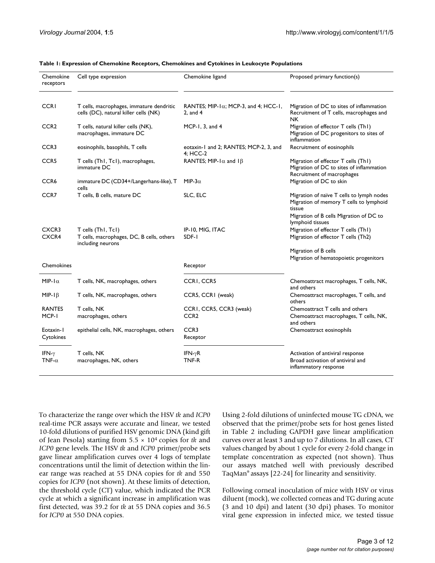| Chemokine<br>receptors         | Cell type expression                                                                 | Chemokine ligand                                               | Proposed primary function(s)                                                                                  |
|--------------------------------|--------------------------------------------------------------------------------------|----------------------------------------------------------------|---------------------------------------------------------------------------------------------------------------|
| <b>CCRI</b>                    | T cells, macrophages, immature dendritic<br>cells (DC), natural killer cells (NK)    | RANTES; MIP-1 $\alpha$ ; MCP-3, and 4; HCC-1,<br>$2$ , and $4$ | Migration of DC to sites of inflammation<br>Recruitment of T cells, macrophages and<br>NK.                    |
| CCR <sub>2</sub>               | T cells, natural killer cells (NK),<br>macrophages, immature DC                      | MCP-1, $3$ , and $4$                                           | Migration of effector T cells (Th1)<br>Migration of DC progenitors to sites of<br>inflammation                |
| CCR <sub>3</sub>               | eosinophils, basophils, T cells                                                      | eotaxin-1 and 2; RANTES; MCP-2, 3, and<br>4; HCC-2             | Recruitment of eosinophils                                                                                    |
| CCR <sub>5</sub>               | T cells (Th1, Tc1), macrophages,<br>immature DC                                      | RANTES; MIP-1 $\alpha$ and 1 $\beta$                           | Migration of effector T cells (Th1)<br>Migration of DC to sites of inflammation<br>Recruitment of macrophages |
| CCR6                           | immature DC (CD34+/Langerhans-like), T<br>cells                                      | MIP-3 $\alpha$                                                 | Migration of DC to skin                                                                                       |
| CCR7                           | T cells, B cells, mature DC                                                          | SLC, ELC                                                       | Migration of naïve T cells to lymph nodes<br>Migration of memory T cells to lymphoid<br>tissue                |
|                                |                                                                                      |                                                                | Migration of B cells Migration of DC to<br>lymphoid tissues                                                   |
| CXCR3<br>CXCR4                 | T cells (Th1, Tc1)<br>T cells, macrophages, DC, B cells, others<br>including neurons | IP-10, MIG, ITAC<br>SDF-1                                      | Migration of effector T cells (Th1)<br>Migration of effector T cells (Th2)                                    |
|                                |                                                                                      |                                                                | Migration of B cells                                                                                          |
| Chemokines                     |                                                                                      | Receptor                                                       | Migration of hematopoietic progenitors                                                                        |
| MIP- $1\alpha$                 | T cells, NK, macrophages, others                                                     | CCRI, CCR5                                                     | Chemoattract macrophages, T cells, NK,<br>and others                                                          |
| $MIP-I\beta$                   | T cells, NK, macrophages, others                                                     | CCR5, CCR1 (weak)                                              | Chemoattract macrophages, T cells, and<br>others                                                              |
| <b>RANTES</b><br>MCP-I         | T cells, NK<br>macrophages, others                                                   | CCRI, CCR5, CCR3 (weak)<br>CCR <sub>2</sub>                    | Chemoattract T cells and others<br>Chemoattract macrophages, T cells, NK,<br>and others                       |
| Eotaxin-1<br>Cytokines         | epithelial cells, NK, macrophages, others                                            | CCR <sub>3</sub><br>Receptor                                   | Chemoattract eosinophils                                                                                      |
| IFN- $\gamma$<br>TNF- $\alpha$ | T cells, NK<br>macrophages, NK, others                                               | IFN- $\gamma$ R<br>TNF-R                                       | Activation of antiviral response<br>Broad activation of antiviral and<br>inflammatory response                |

<span id="page-2-0"></span>**Table 1: Expression of Chemokine Receptors, Chemokines and Cytokines in Leukocyte Populations**

To characterize the range over which the HSV *tk* and *ICP0* real-time PCR assays were accurate and linear, we tested 10-fold dilutions of purified HSV genomic DNA (kind gift of Jean Pesola) starting from 5.5 × 104 copies for *tk* and *ICP0* gene levels. The HSV *tk* and *ICP0* primer/probe sets gave linear amplification curves over 4 logs of template concentrations until the limit of detection within the linear range was reached at 55 DNA copies for *tk* and 550 copies for *ICP0* (not shown). At these limits of detection, the threshold cycle (CT) value, which indicated the PCR cycle at which a significant increase in amplification was first detected, was 39.2 for *tk* at 55 DNA copies and 36.5 for *ICP0* at 550 DNA copies.

Using 2-fold dilutions of uninfected mouse TG cDNA, we observed that the primer/probe sets for host genes listed in Table [2](#page-3-0) including GAPDH gave linear amplification curves over at least 3 and up to 7 dilutions. In all cases, CT values changed by about 1 cycle for every 2-fold change in template concentration as expected (not shown). Thus our assays matched well with previously described TaqMan® assays [22-24] for linearity and sensitivity.

Following corneal inoculation of mice with HSV or virus diluent (mock), we collected corneas and TG during acute (3 and 10 dpi) and latent (30 dpi) phases. To monitor viral gene expression in infected mice, we tested tissue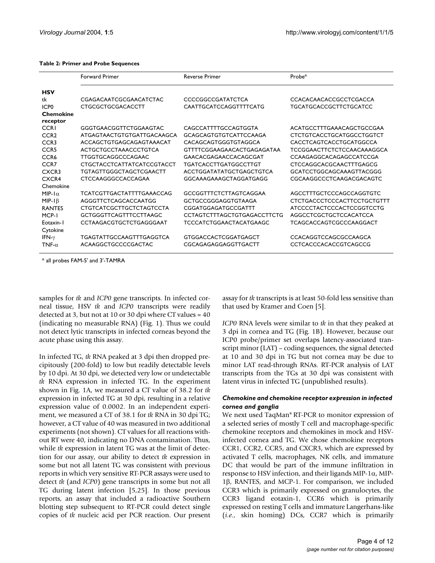|                              | <b>Forward Primer</b>           | <b>Reverse Primer</b>              | Probe*                            |  |
|------------------------------|---------------------------------|------------------------------------|-----------------------------------|--|
| <b>HSV</b>                   |                                 |                                    |                                   |  |
| tk                           | CGAGACAATCGCGAACATCTAC          | CCCCGGCCGATATCTCA                  | CCACACAACACCGCCTCGACCA            |  |
| ICP <sub>0</sub>             | <b>CTGCGCTGCGACACCTT</b>        | CAATTGCATCCAGGTTTTCATG             | <b>TGCATGCACCGCTTCTGCATCC</b>     |  |
| <b>Chemokine</b><br>receptor |                                 |                                    |                                   |  |
| <b>CCRI</b>                  | GGGTGAACGGTTCTGGAAGTAC          | CAGCCATTTTGCCAGTGGTA               | ACATGCCTTTGAAACAGCTGCCGAA         |  |
| CCR <sub>2</sub>             | ATGAGTAACTGTGTGATTGACAAGCA      | <b>GCAGCAGTGTGTCATTCCAAGA</b>      | <b>CTCTGTCACCTGCATGGCCTGGTCT</b>  |  |
| CCR <sub>3</sub>             | ACCAGCTGTGAGCAGAGTAAACAT        | CACAGCAGTGGGTGTAGGCA               | CACCTCAGTCACCTGCATGGCCA           |  |
| CCR <sub>5</sub>             | ACTGCTGCCTAAACCCTGTCA           | GTTTTCGGAAGAACACTGAGAGATAA         | <b>TCCGGAACTTCTCTCCAACAAAGGCA</b> |  |
| CCR <sub>6</sub>             | TTGGTGCAGGCCCAGAAC              | GAACACGAGAACCACAGCGAT              | CCAAGAGGCACAGAGCCATCCGA           |  |
| CCR7                         | CTGCTACCTCATTATCATCCGTACCT      | <b>TGATCACCTTGATGGCCTTGT</b>       | CTCCAGGCACGCAACTTTGAGCG           |  |
| CXCR3                        | <b>TGTAGTTGGGCTAGCTCGAACTT</b>  | ACCTGGATATATGCTGAGCTGTCA           | GCATCCTGGCAGCAAAGTTACGGG          |  |
| CXCR4                        | CTCCAAGGGCCACCAGAA              | GGCAAAGAAAGCTAGGATGAGG             | CGCAAGGCCCTCAAGACGACAGTC          |  |
| Chemokine                    |                                 |                                    |                                   |  |
| MIP- $\alpha$                | TCATCGTTGACTATTTTGAAACCAG       | <b>GCCGGTTTCTCTTAGTCAGGAA</b>      | AGCCTTTGCTCCCAGCCAGGTGTC          |  |
| $MIP-I\beta$                 | AGGGTTCTCAGCACCAATGG            | GCTGCCGGGAGGTGTAAGA                | CTCTGACCCTCCCACTTCCTGCTGTTT       |  |
| <b>RANTES</b>                | <b>CTGTCATCGCTTGCTCTAGTCCTA</b> | CGGATGGAGATGCCGATTT                | ATCCCCTACTCCCACTCCGGTCCTG         |  |
| MCP-1                        | GCTGGGTTCAGTTTCCTTAAGC          | <b>CCTAGTCTTTAGCTGTGAGACCTTCTG</b> | AGGCCTCGCTGCTCCACATCCA            |  |
| Eotaxin-I<br>Cytokine        | CCTAAGACGTGCTCTGAGGGAAT         | <b>TCCCATCTGGAACTACATGAAGC</b>     | TCAGCACCAGTCGCCCAAGGACT           |  |
| IFN- $\gamma$                | TGAGTATTGCCAAGTTTGAGGTCA        | GTGGACCACTCGGATGAGCT               | <b>CCACAGGTCCAGCGCCAAGCA</b>      |  |
| TNF- $\alpha$                | ACAAGGCTGCCCCGACTAC             | CGCAGAGAGGAGGTTGACTT               | CCTCACCCACACCGTCAGCCG             |  |

#### <span id="page-3-0"></span>**Table 2: Primer and Probe Sequences**

\* all probes FAM-5' and 3'-TAMRA

samples for *tk* and *ICP0* gene transcripts. In infected corneal tissue, HSV *tk* and *ICP0* transcripts were readily detected at 3, but not at 10 or 30 dpi where CT values = 40 (indicating no measurable RNA) (Fig. [1](#page-4-0)). Thus we could not detect lytic transcripts in infected corneas beyond the acute phase using this assay.

In infected TG, *tk* RNA peaked at 3 dpi then dropped precipitously (200-fold) to low but readily detectable levels by 10 dpi. At 30 dpi, we detected very low or undetectable *tk* RNA expression in infected TG. In the experiment shown in Fig. [1](#page-4-0)A, we measured a CT value of 38.2 for *tk* expression in infected TG at 30 dpi, resulting in a relative expression value of 0.0002. In an independent experiment, we measured a CT of 38.1 for *tk* RNA in 30 dpi TG; however, a CT value of 40 was measured in two additional experiments (not shown). CT values for all reactions without RT were 40, indicating no DNA contamination. Thus, while *tk* expression in latent TG was at the limit of detection for our assay, our ability to detect *tk* expression in some but not all latent TG was consistent with previous reports in which very sensitive RT-PCR assays were used to detect *tk* (and *ICP0*) gene transcripts in some but not all TG during latent infection [5,25]. In those previous reports, an assay that included a radioactive Southern blotting step subsequent to RT-PCR could detect single copies of *tk* nucleic acid per PCR reaction. Our present

assay for *tk* transcripts is at least 50-fold less sensitive than that used by Kramer and Coen [5].

*ICP0* RNA levels were similar to *tk* in that they peaked at 3 dpi in cornea and TG (Fig. [1B](#page-4-0)). However, because our ICP0 probe/primer set overlaps latency-associated transcript minor (LAT) – coding sequences, the signal detected at 10 and 30 dpi in TG but not cornea may be due to minor LAT read-through RNAs. RT-PCR analysis of LAT transcripts from the TGs at 30 dpi was consistent with latent virus in infected TG (unpublished results).

## *Chemokine and chemokine receptor expression in infected cornea and ganglia*

We next used TaqMan® RT-PCR to monitor expression of a selected series of mostly T cell and macrophage-specific chemokine receptors and chemokines in mock and HSVinfected cornea and TG. We chose chemokine receptors CCR1, CCR2, CCR5, and CXCR3, which are expressed by activated T cells, macrophages, NK cells, and immature DC that would be part of the immune infiltration in response to HSV infection, and their ligands MIP-1α, MIP-1β, RANTES, and MCP-1. For comparison, we included CCR3 which is primarily expressed on granulocytes, the CCR3 ligand eotaxin-1, CCR6 which is primarily expressed on resting T cells and immature Langerhans-like (*i.e.,* skin homing) DCs, CCR7 which is primarily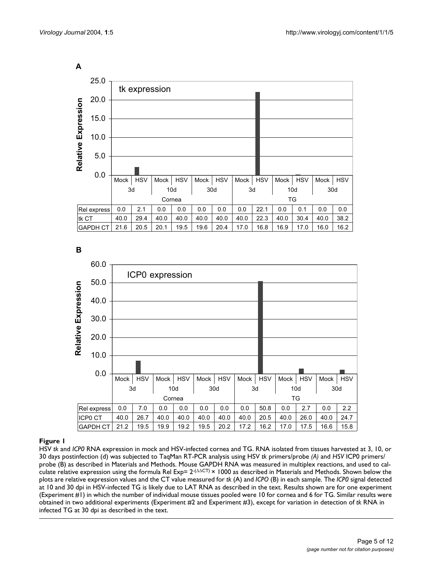<span id="page-4-0"></span>

**B**



## HSV **Figure 1** *tk* and *ICP0* RNA expression in mock and HSV-infected cornea and TG

HSV *tk* and *ICP0* RNA expression in mock and HSV-infected cornea and TG. RNA isolated from tissues harvested at 3, 10, or 30 days postinfection (d) was subjected to TaqMan RT-PCR analysis using HSV *tk* primers/probe *(A)* and *HSV* ICP0 primers/ probe (B) as described in Materials and Methods. Mouse GAPDH RNA was measured in multiplex reactions, and used to calculate relative expression using the formula Rel Exp=  $2 \cdot (\Delta \Delta C) \times 1000$  as described in Materials and Methods. Shown below the plots are relative expression values and the CT value measured for *tk* (A) and *ICPO* (B) in each sample. The *ICP0* signal detected at 10 and 30 dpi in HSV-infected TG is likely due to LAT RNA as described in the text. Results shown are for one experiment (Experiment #1) in which the number of individual mouse tissues pooled were 10 for cornea and 6 for TG. Similar results were obtained in two additional experiments (Experiment #2 and Experiment #3), except for variation in detection of *tk* RNA in infected TG at 30 dpi as described in the text.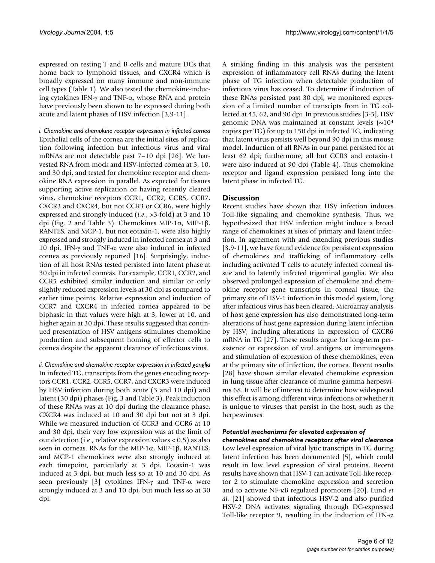expressed on resting T and B cells and mature DCs that home back to lymphoid tissues, and CXCR4 which is broadly expressed on many immune and non-immune cell types (Table [1](#page-2-0)). We also tested the chemokine-inducing cytokines IFN-γ and TNF-α, whose RNA and protein have previously been shown to be expressed during both acute and latent phases of HSV infection [3,9-11].

*i. Chemokine and chemokine receptor expression in infected cornea* Epithelial cells of the cornea are the initial sites of replication following infection but infectious virus and viral mRNAs are not detectable past 7–10 dpi [26]. We harvested RNA from mock and HSV-infected cornea at 3, 10, and 30 dpi, and tested for chemokine receptor and chemokine RNA expression in parallel. As expected for tissues supporting active replication or having recently cleared virus, chemokine receptors CCR1, CCR2, CCR5, CCR7, CXCR3 and CXCR4, but not CCR3 or CCR6, were highly expressed and strongly induced (*i.e.*, >3-fold) at 3 and 10 dpi (Fig. [2](#page-6-0) and Table [3\)](#page-7-0). Chemokines MIP-1α, MIP-1β, RANTES, and MCP-1, but not eotaxin-1, were also highly expressed and strongly induced in infected cornea at 3 and 10 dpi. IFN-γ and TNF-α were also induced in infected cornea as previously reported [16]. Surprisingly, induction of all host RNAs tested persisted into latent phase at 30 dpi in infected corneas. For example, CCR1, CCR2, and CCR5 exhibited similar induction and similar or only slightly reduced expression levels at 30 dpi as compared to earlier time points. Relative expression and induction of CCR7 and CXCR4 in infected cornea appeared to be biphasic in that values were high at 3, lower at 10, and higher again at 30 dpi. These results suggested that continued presentation of HSV antigens stimulates chemokine production and subsequent homing of effector cells to cornea despite the apparent clearance of infectious virus.

*ii. Chemokine and chemokine receptor expression in infected ganglia* In infected TG, transcripts from the genes encoding receptors CCR1, CCR2, CCR5, CCR7, and CXCR3 were induced by HSV infection during both acute (3 and 10 dpi) and latent (30 dpi) phases (Fig. [3](#page-8-0) and Table [3\)](#page-7-0). Peak induction of these RNAs was at 10 dpi during the clearance phase. CXCR4 was induced at 10 and 30 dpi but not at 3 dpi. While we measured induction of CCR3 and CCR6 at 10 and 30 dpi, their very low expression was at the limit of our detection (i.e., relative expression values < 0.5) as also seen in corneas. RNAs for the MIP-1α, MIP-1β, RANTES, and MCP-1 chemokines were also strongly induced at each timepoint, particularly at 3 dpi. Eotaxin-1 was induced at 3 dpi, but much less so at 10 and 30 dpi. As seen previously [3] cytokines IFN-γ and TNF-α were strongly induced at 3 and 10 dpi, but much less so at 30 dpi.

A striking finding in this analysis was the persistent expression of inflammatory cell RNAs during the latent phase of TG infection when detectable production of infectious virus has ceased. To determine if induction of these RNAs persisted past 30 dpi, we monitored expression of a limited number of transcipts from in TG collected at 45, 62, and 90 dpi. In previous studies [3-5], HSV genomic DNA was maintained at constant levels  $(\sim 10^4$ copies per TG) for up to 150 dpi in infected TG, indicating that latent virus persists well beyond 90 dpi in this mouse model. Induction of all RNAs in our panel persisted for at least 62 dpi; furthermore, all but CCR3 and eotaxin-1 were also induced at 90 dpi (Table [4](#page-9-0)). Thus chemokine receptor and ligand expression persisted long into the latent phase in infected TG.

## **Discussion**

Recent studies have shown that HSV infection induces Toll-like signaling and chemokine synthesis. Thus, we hypothesized that HSV infection might induce a broad range of chemokines at sites of primary and latent infection. In agreement with and extending previous studies [3,9-11], we have found evidence for persistent expression of chemokines and trafficking of inflammatory cells including activated T cells to acutely infected corneal tissue and to latently infected trigeminal ganglia. We also observed prolonged expression of chemokine and chemokine receptor gene transcripts in corneal tissue, the primary site of HSV-1 infection in this model system, long after infectious virus has been cleared. Microarray analysis of host gene expression has also demonstrated long-term alterations of host gene expression during latent infection by HSV, including alterations in expression of CXCR6 mRNA in TG [27]. These results argue for long-term persistence or expression of viral antigens or immunogens and stimulation of expression of these chemokines, even at the primary site of infection, the cornea. Recent results [28] have shown similar elevated chemokine expression in lung tissue after clearance of murine gamma herpesvirus 68. It will be of interest to determine how widespread this effect is among different virus infections or whether it is unique to viruses that persist in the host, such as the herpesviruses.

## *Potential mechanisms for elevated expression of*

*chemokines and chemokine receptors after viral clearance* Low level expression of viral lytic transcripts in TG during latent infection has been documented [5], which could result in low level expression of viral proteins. Recent results have shown that HSV-1 can activate Toll-like receptor 2 to stimulate chemokine expression and secretion and to activate NF-κB regulated promoters [20]. Lund *et al.* [21] showed that infectious HSV-2 and also purified HSV-2 DNA activates signaling through DC-expressed Toll-like receptor 9, resulting in the induction of IFN- $\alpha$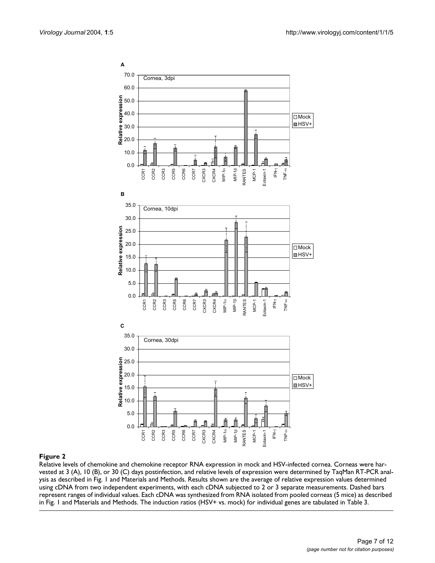<span id="page-6-0"></span>

Relative levels of chemokine and chemokine receptor RNA expression in mock and HSV-infected cornea. Corneas were harvested at 3 (A), 10 (B), or 30 (C) days postinfection, and relative levels of expression were determined by TaqMan RT-PCR analysis as described in Fig. 1 and Materials and Methods. Results shown are the average of relative expression values determined using cDNA from two independent experiments, with each cDNA subjected to 2 or 3 separate measurements. Dashed bars represent ranges of individual values. Each cDNA was synthesized from RNA isolated from pooled corneas (5 mice) as described in Fig. 1 and Materials and Methods. The induction ratios (HSV+ vs. mock) for individual genes are tabulated in Table 3.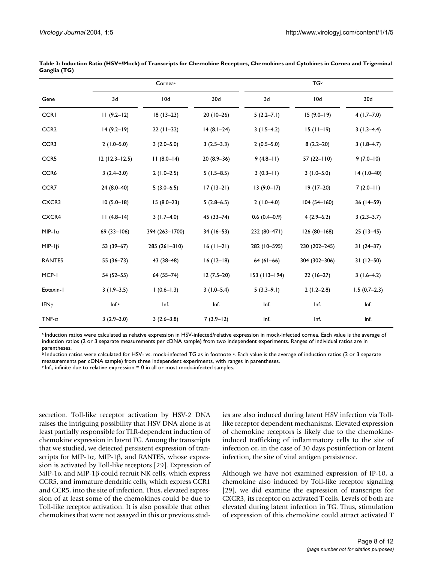|                  | Cornea <sup>a</sup> |                | <b>TGb</b>     |                 |                 |                 |
|------------------|---------------------|----------------|----------------|-----------------|-----------------|-----------------|
| Gene             | 3d                  | 10d            | 30d            | 3d              | 10d             | 30 <sub>d</sub> |
| <b>CCRI</b>      | $11(9.2-12)$        | $18(13-23)$    | $20(10-26)$    | $5(2.2 - 7.1)$  | $15(9.0-19)$    | $4(1.7-7.0)$    |
| CCR <sub>2</sub> | $14(9.2-19)$        | $22(11-32)$    | $14(8.1-24)$   | $3(1.5-4.2)$    | $15(11-19)$     | $3(1.3-4.4)$    |
| CCR3             | $2(1.0 - 5.0)$      | $3(2.0 - 5.0)$ | $3(2.5-3.3)$   | $2(0.5-5.0)$    | $8(2.2-20)$     | $3(1.8-4.7)$    |
| CCR <sub>5</sub> | $12(12.3 - 12.5)$   | $11(8.0-14)$   | $20(8.9-36)$   | $9(4.8-11)$     | $57(22 - 110)$  | $9(7.0 - 10)$   |
| CCR6             | $3(2.4 - 3.0)$      | $2(1.0-2.5)$   | $5(1.5-8.5)$   | $3(0.3 - 11)$   | $3(1.0 - 5.0)$  | $14(1.0-40)$    |
| CCR7             | $24(8.0-40)$        | $5(3.0-6.5)$   | $17(13-21)$    | $13(9.0-17)$    | $19(17-20)$     | $7(2.0-11)$     |
| CXCR3            | $10(5.0 - 18)$      | $15(8.0-23)$   | $5(2.8-6.5)$   | $2(1.0-4.0)$    | $104(54-160)$   | 36 (14-59)      |
| CXCR4            | $11(4.8-14)$        | $3(1.7-4.0)$   | $45(33 - 74)$  | $0.6(0.4-0.9)$  | $4(2.9-6.2)$    | $3(2.3-3.7)$    |
| MIP- $1\alpha$   | $69(33 - 106)$      | 394 (263-1700) | $34(16 - 53)$  | 232 (80-471)    | $126(80 - 168)$ | $25(13-45)$     |
| MIP- $1\beta$    | $53(39-67)$         | 285 (261-310)  | $16 (11 - 21)$ | 282 (10-595)    | 230 (202-245)   | $31(24-37)$     |
| <b>RANTES</b>    | $55(36-73)$         | 43 (38-48)     | $16(12-18)$    | $64(61-66)$     | 304 (302-306)   | $31(12 - 50)$   |
| MCP-I            | $54(52 - 55)$       | $64(55 - 74)$  | $12(7.5-20)$   | $153$ (113-194) | $22(16-27)$     | $3(1.6-4.2)$    |
| Eotaxin-I        | $3(1.9-3.5)$        | $(0.6 - 1.3)$  | $3(1.0-5.4)$   | $5(3.3-9.1)$    | $2(1.2-2.8)$    | $1.5(0.7-2.3)$  |
| IFN $\gamma$     | Inf.c               | Inf.           | Inf.           | Inf.            | Inf.            | Inf.            |
| TNF- $\alpha$    | $3(2.9-3.0)$        | $3(2.6-3.8)$   | $7(3.9-12)$    | Inf.            | Inf.            | Inf.            |

<span id="page-7-0"></span>**Table 3: Induction Ratio (HSV+/Mock) of Transcripts for Chemokine Receptors, Chemokines and Cytokines in Cornea and Trigeminal Ganglia (TG)**

a Induction ratios were calculated as relative expression in HSV-infected/relative expression in mock-infected cornea. Each value is the average of induction ratios (2 or 3 separate measurements per cDNA sample) from two independent experiments. Ranges of individual ratios are in parentheses.

b Induction ratios were calculated for HSV- vs. mock-infected TG as in footnote <sup>a</sup>. Each value is the average of induction ratios (2 or 3 separate measurements per cDNA sample) from three independent experiments, with ranges in parentheses.

 $c$  Inf., infinite due to relative expression = 0 in all or most mock-infected samples.

secretion. Toll-like receptor activation by HSV-2 DNA raises the intriguing possibility that HSV DNA alone is at least partially responsible for TLR-dependent induction of chemokine expression in latent TG. Among the transcripts that we studied, we detected persistent expression of transcripts for MIP-1α, MIP-1β, and RANTES, whose expression is activated by Toll-like receptors [29]. Expression of MIP-1α and MIP-1β could recruit NK cells, which express CCR5, and immature dendritic cells, which express CCR1 and CCR5, into the site of infection. Thus, elevated expression of at least some of the chemokines could be due to Toll-like receptor activation. It is also possible that other chemokines that were not assayed in this or previous studies are also induced during latent HSV infection via Tolllike receptor dependent mechanisms. Elevated expression of chemokine receptors is likely due to the chemokineinduced trafficking of inflammatory cells to the site of infection or, in the case of 30 days postinfection or latent infection, the site of viral antigen persistence.

Although we have not examined expression of IP-10, a chemokine also induced by Toll-like receptor signaling [29], we did examine the expression of transcripts for CXCR3, its receptor on activated T cells. Levels of both are elevated during latent infection in TG. Thus, stimulation of expression of this chemokine could attract activated T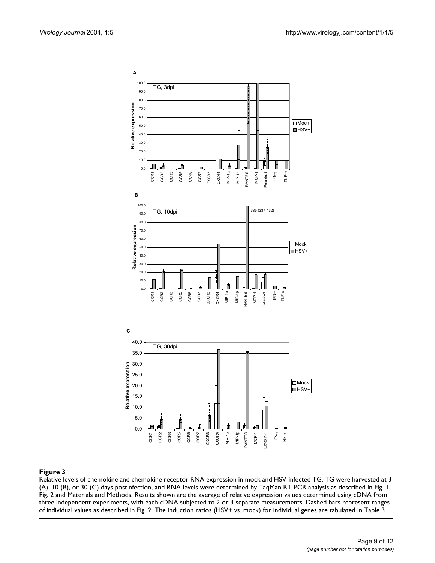<span id="page-8-0"></span>

### Relative levels of chemokine an **Figure 3** d chemokine receptor RNA expression in mock and HSV-infected TG

Relative levels of chemokine and chemokine receptor RNA expression in mock and HSV-infected TG. TG were harvested at 3 (A), 10 (B), or 30 (C) days postinfection, and RNA levels were determined by TaqMan RT-PCR analysis as described in Fig. 1, Fig. 2 and Materials and Methods. Results shown are the average of relative expression values determined using cDNA from three independent experiments, with each cDNA subjected to 2 or 3 separate measurements. Dashed bars represent ranges of individual values as described in Fig. 2. The induction ratios (HSV+ vs. mock) for individual genes are tabulated in Table 3.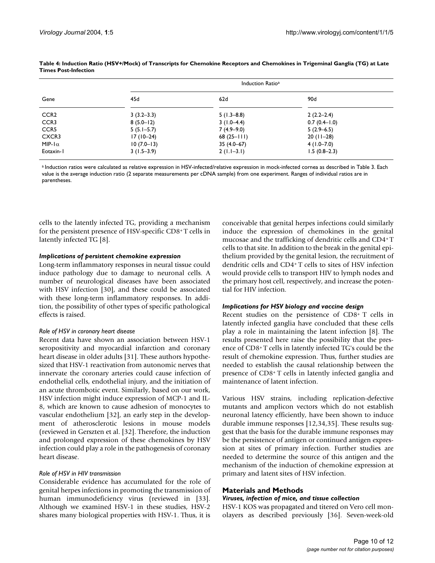|                  | Induction Ratio <sup>a</sup> |              |                |  |
|------------------|------------------------------|--------------|----------------|--|
| Gene             | 45d                          | 62d          | 90d            |  |
| CCR <sub>2</sub> | $3(3.2 - 3.3)$               | $5(1.3-8.8)$ | $2(2.2-2.4)$   |  |
| CCR <sub>3</sub> | $8(5.0 - 12)$                | $3(1.0-4.4)$ | $0.7(0.4-1.0)$ |  |
| CCR <sub>5</sub> | $5(5.1 - 5.7)$               | $7(4.9-9.0)$ | $5(2.9-6.5)$   |  |
| CXCR3            | $17(10-24)$                  | $68(25-111)$ | $20(11-28)$    |  |
| MIP- $\alpha$    | $10(7.0-13)$                 | $35(4.0-67)$ | $4(1.0 - 7.0)$ |  |
| Eotaxin-1        | $3(1.5-3.9)$                 | $2(1.1-3.1)$ | $1.5(0.8-2.3)$ |  |

#### <span id="page-9-0"></span>**Table 4: Induction Ratio (HSV+/Mock) of Transcripts for Chemokine Receptors and Chemokines in Trigeminal Ganglia (TG) at Late Times Post-Infection**

a Induction ratios were calculated as relative expression in HSV-infected/relative expression in mock-infected cornea as described in Table 3. Each value is the average induction ratio (2 separate measurements per cDNA sample) from one experiment. Ranges of individual ratios are in parentheses.

cells to the latently infected TG, providing a mechanism for the persistent presence of HSV-specific CD8+ T cells in latently infected TG [8].

#### *Implications of persistent chemokine expression*

Long-term inflammatory responses in neural tissue could induce pathology due to damage to neuronal cells. A number of neurological diseases have been associated with HSV infection [30], and these could be associated with these long-term inflammatory responses. In addition, the possibility of other types of specific pathological effects is raised.

#### *Role of HSV in coronary heart disease*

Recent data have shown an association between HSV-1 seropositivity and myocardial infarction and coronary heart disease in older adults [31]. These authors hypothesized that HSV-1 reactivation from autonomic nerves that innervate the coronary arteries could cause infection of endothelial cells, endothelial injury, and the initiation of an acute thrombotic event. Similarly, based on our work, HSV infection might induce expression of MCP-1 and IL-8, which are known to cause adhesion of monocytes to vascular endothelium [32], an early step in the development of atherosclerotic lesions in mouse models (reviewed in Gerszten et al. [32]. Therefore, the induction and prolonged expression of these chemokines by HSV infection could play a role in the pathogenesis of coronary heart disease.

#### *Role of HSV in HIV transmission*

Considerable evidence has accumulated for the role of genital herpes infections in promoting the transmission of human immunodeficiency virus (reviewed in [33]. Although we examined HSV-1 in these studies, HSV-2 shares many biological properties with HSV-1. Thus, it is conceivable that genital herpes infections could similarly induce the expression of chemokines in the genital mucosae and the trafficking of dendritic cells and CD4+ T cells to that site. In addition to the break in the genital epithelium provided by the genital lesion, the recruitment of dendritic cells and CD4+ T cells to sites of HSV infection would provide cells to transport HIV to lymph nodes and the primary host cell, respectively, and increase the potential for HIV infection.

#### *Implications for HSV biology and vaccine design*

Recent studies on the persistence of CD8+ T cells in latently infected ganglia have concluded that these cells play a role in maintaining the latent infection [8]. The results presented here raise the possibility that the presence of CD8+ T cells in latently infected TG's could be the result of chemokine expression. Thus, further studies are needed to establish the causal relationship between the presence of CD8+ T cells in latently infected ganglia and maintenance of latent infection.

Various HSV strains, including replication-defective mutants and amplicon vectors which do not establish neuronal latency efficiently, have been shown to induce durable immune responses [12,34,35]. These results suggest that the basis for the durable immune responses may be the persistence of antigen or continued antigen expression at sites of primary infection. Further studies are needed to determine the source of this antigen and the mechanism of the induction of chemokine expression at primary and latent sites of HSV infection.

#### **Materials and Methods**

#### *Viruses, infection of mice, and tissue collection*

HSV-1 KOS was propagated and titered on Vero cell monolayers as described previously [36]. Seven-week-old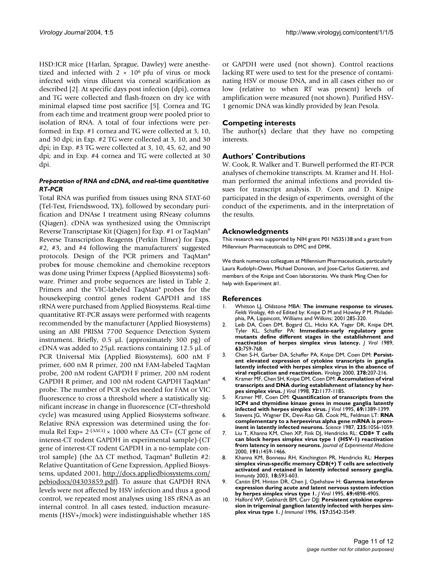HSD:ICR mice (Harlan, Sprague, Dawley) were anesthetized and infected with  $2 \times 10^6$  pfu of virus or mock infected with virus diluent via corneal scarification as described [2]. At specific days post infection (dpi), cornea and TG were collected and flash-frozen on dry ice with minimal elapsed time post sacrifice [5]. Cornea and TG from each time and treatment group were pooled prior to isolation of RNA. A total of four infections were performed: in Exp. #1 cornea and TG were collected at 3, 10, and 30 dpi; in Exp. #2 TG were collected at 3, 10, and 30 dpi; in Exp. #3 TG were collected at 3, 10, 45, 62, and 90 dpi; and in Exp. #4 cornea and TG were collected at 30 dpi.

### *Preparation of RNA and cDNA, and real-time quantitative RT-PCR*

Total RNA was purified from tissues using RNA STAT-60 (Tel-Test, Friendswood, TX), followed by secondary purification and DNAse I treatment using RNeasy columns (Qiagen). cDNA was synthesized using the Omniscript Reverse Transcriptase Kit (Qiagen) for Exp. #1 or TaqMan® Reverse Transcription Reagents (Perkin Elmer) for Exps. #2, #3, and #4 following the manufacturers' suggested protocols. Design of the PCR primers and TaqMan® probe**s** for mouse chemokine and chemokine receptors was done using Primer Express (Applied Biosystems) software. Primer and probe sequences are listed in Table [2.](#page-3-0) Primers and the VIC-labeled TaqMan® probe**s** for the housekeeping control genes rodent GAPDH and 18S rRNA were purchased from Applied Biosystems. Real-time quantitative RT-PCR assays were performed with reagents recommended by the manufacturer (Applied Biosystems) using an ABI PRISM 7700 Sequence Detection System instrument. Briefly, 0.5 µL (approximately 300 pg) of cDNA was added to 25µL reactions containing 12.5 µL of PCR Universal Mix (Applied Biosystems), 600 nM F primer, 600 nM R primer, 200 nM FAM-labeled TaqMan probe, 200 nM rodent GAPDH F primer, 200 nM rodent GAPDH R primer, and 100 nM rodent GAPDH TaqMan® probe. The number of PCR cycles needed for FAM or VIC fluorescence to cross a threshold where a statistically significant increase in change in fluorescence (CT=threshold cycle) was measured using Applied Biosystems software. Relative RNA expression was determined using the formula Rel Exp=  $2$ -( $\triangle \triangle C1$ ) × 1000 where  $\triangle \triangle C1$ = (CT gene of interest-CT rodent GAPDH in experimental sample)-(CT gene of interest-CT rodent GAPDH in a no-template control sample) (the ∆∆ CT method, Taqman® Bulletin #2: Relative Quantitation of Gene Expression, Applied Biosystems, updated 2001, [http://docs.appliedbiosystems.com/](http://docs.appliedbiosystems.com/pebiodocs/04303859.pdf) [pebiodocs/04303859.pdf](http://docs.appliedbiosystems.com/pebiodocs/04303859.pdf)). To assure that GAPDH RNA levels were not affected by HSV infection and thus a good control, we repeated most analyses using 18S rRNA as an internal control. In all cases tested, induction measurements (HSV+/mock) were indistinguishable whether 18S or GAPDH were used (not shown). Control reactions lacking RT were used to test for the presence of contaminating HSV or mouse DNA, and in all cases either no or low (relative to when RT was present) levels of amplification were measured (not shown). Purified HSV-1 genomic DNA was kindly provided by Jean Pesola.

## **Competing interests**

The author(s) declare that they have no competing interests.

## **Authors' Contributions**

W. Cook, R. Walker and T. Burwell performed the RT-PCR analyses of chemokine transcripts. M. Kramer and H. Holman performed the animal infections and provided tissues for transcript analysis. D. Coen and D. Knipe participated in the design of experiments, oversight of the conduct of the experiments, and in the interpretation of the results.

#### **Acknowledgments**

This research was supported by NIH grant P01 NS35138 and a grant from Millennium Pharmaceuticals to DMC and DMK.

We thank numerous colleagues at Millennium Pharmaceuticals, particularly Laura Rudolph-Owen, Michael Donovan, and Jose-Carlos Gutierrez, and members of the Knipe and Coen laboratories. We thank Ming Chen for help with Experiment #1.

#### **References**

- 1. Whitton LJ, Oldstone MBA: **The immune response to viruses.** *Fields Virology, 4th ed* Edited by: Knipe D M and Howley P M. Philadelphia, PA, Lippincott, Williams and Wilkins; 2001:285-320.
- 2. Leib DA, Coen DM, Bogard CL, Hicks KA, Yager DR, Knipe DM, Tyler KL, Schaffer PA: **[Immediate-early regulatory gene](http://www.ncbi.nlm.nih.gov/entrez/query.fcgi?cmd=Retrieve&db=PubMed&dopt=Abstract&list_uids=2536101) [mutants define different stages in the establishment and](http://www.ncbi.nlm.nih.gov/entrez/query.fcgi?cmd=Retrieve&db=PubMed&dopt=Abstract&list_uids=2536101) [reactivation of herpes simplex virus latency.](http://www.ncbi.nlm.nih.gov/entrez/query.fcgi?cmd=Retrieve&db=PubMed&dopt=Abstract&list_uids=2536101)** *J Virol* 1989, **63:**759-768.
- 3. Chen S-H, Garber DA, Schaffer PA, Knipe DM, Coen DM: **[Persist](http://www.ncbi.nlm.nih.gov/entrez/query.fcgi?cmd=Retrieve&db=PubMed&dopt=Abstract&list_uids=11112495)[ent elevated expression of cytokine transcripts in ganglia](http://www.ncbi.nlm.nih.gov/entrez/query.fcgi?cmd=Retrieve&db=PubMed&dopt=Abstract&list_uids=11112495) latently infected with herpes simplex virus in the absence of [viral replication and reactivation.](http://www.ncbi.nlm.nih.gov/entrez/query.fcgi?cmd=Retrieve&db=PubMed&dopt=Abstract&list_uids=11112495)** *Virology* 2000, **278:**207-216.
- 4. Kramer MF, Chen SH, Knipe DM, Coen DM: **[Accumulation of viral](http://www.ncbi.nlm.nih.gov/entrez/query.fcgi?cmd=Retrieve&db=PubMed&dopt=Abstract&list_uids=9445016) [transcripts and DNA during establishment of latency by her](http://www.ncbi.nlm.nih.gov/entrez/query.fcgi?cmd=Retrieve&db=PubMed&dopt=Abstract&list_uids=9445016)[pes simplex virus.](http://www.ncbi.nlm.nih.gov/entrez/query.fcgi?cmd=Retrieve&db=PubMed&dopt=Abstract&list_uids=9445016)** *J Virol* 1998, **72:**1177-1185.
- 5. Kramer MF, Coen DM: **[Quantification of transcripts from the](http://www.ncbi.nlm.nih.gov/entrez/query.fcgi?cmd=Retrieve&db=PubMed&dopt=Abstract&list_uids=7853471) [ICP4 and thymidine kinase genes in mouse ganglia latently](http://www.ncbi.nlm.nih.gov/entrez/query.fcgi?cmd=Retrieve&db=PubMed&dopt=Abstract&list_uids=7853471) [infected with herpes simplex virus.](http://www.ncbi.nlm.nih.gov/entrez/query.fcgi?cmd=Retrieve&db=PubMed&dopt=Abstract&list_uids=7853471)** *J Virol* 1995, **69:**1389-1399.
- 6. Stevens JG, Wagner EK, Devi-Rao GB, Cook ML, Feldman LT: **[RNA](http://www.ncbi.nlm.nih.gov/entrez/query.fcgi?cmd=Retrieve&db=PubMed&dopt=Abstract&list_uids=2434993) [complementary to a herpesvirus alpha gene mRNA is prom](http://www.ncbi.nlm.nih.gov/entrez/query.fcgi?cmd=Retrieve&db=PubMed&dopt=Abstract&list_uids=2434993)[inent in latently infected neurons.](http://www.ncbi.nlm.nih.gov/entrez/query.fcgi?cmd=Retrieve&db=PubMed&dopt=Abstract&list_uids=2434993)** *Science* 1987, **235:**1056-1059.
- 7. Liu T, Khanna KM, Chen XP, Fink DJ, Hendricks RL: **[CD8+ T cells](http://www.ncbi.nlm.nih.gov/entrez/query.fcgi?cmd=Retrieve&db=PubMed&dopt=Abstract&list_uids=10790421) [can block herpes simplex virus type 1 \(HSV-1\) reactivation](http://www.ncbi.nlm.nih.gov/entrez/query.fcgi?cmd=Retrieve&db=PubMed&dopt=Abstract&list_uids=10790421) [from latency in sensory neurons.](http://www.ncbi.nlm.nih.gov/entrez/query.fcgi?cmd=Retrieve&db=PubMed&dopt=Abstract&list_uids=10790421)** *Journal of Experimental Medicine* 2000, **191:**1459-1466.
- 8. Khanna KM, Bonneau RH, Kinchington PR, Hendricks RL: **[Herpes](http://www.ncbi.nlm.nih.gov/entrez/query.fcgi?cmd=Retrieve&db=PubMed&dopt=Abstract&list_uids=12753737) simplex virus-specific memory CD8(+) T cells are selectively [activated and retained in latently infected sensory ganglia.](http://www.ncbi.nlm.nih.gov/entrez/query.fcgi?cmd=Retrieve&db=PubMed&dopt=Abstract&list_uids=12753737)** *Immunity* 2003, **18:**593-603.
- 9. Cantin EM, Hinton DR, Chen J, Opehshaw H: **[Gamma interferon](http://www.ncbi.nlm.nih.gov/entrez/query.fcgi?cmd=Retrieve&db=PubMed&dopt=Abstract&list_uids=7609058) [expression during acute and latent nervous system infection](http://www.ncbi.nlm.nih.gov/entrez/query.fcgi?cmd=Retrieve&db=PubMed&dopt=Abstract&list_uids=7609058) [by herpes simplex virus type 1.](http://www.ncbi.nlm.nih.gov/entrez/query.fcgi?cmd=Retrieve&db=PubMed&dopt=Abstract&list_uids=7609058)** *J Virol* 1995, **69:**4898-4905.
- 10. Halford WP, Gebhardt BM, Carr DJJ: **[Persistent cytokine expres](http://www.ncbi.nlm.nih.gov/entrez/query.fcgi?cmd=Retrieve&db=PubMed&dopt=Abstract&list_uids=8871654)[sion in trigeminal ganglion latently infected with herpes sim](http://www.ncbi.nlm.nih.gov/entrez/query.fcgi?cmd=Retrieve&db=PubMed&dopt=Abstract&list_uids=8871654)[plex virus type 1.](http://www.ncbi.nlm.nih.gov/entrez/query.fcgi?cmd=Retrieve&db=PubMed&dopt=Abstract&list_uids=8871654)** *J Immunol* 1996, **157:**3542-3549.